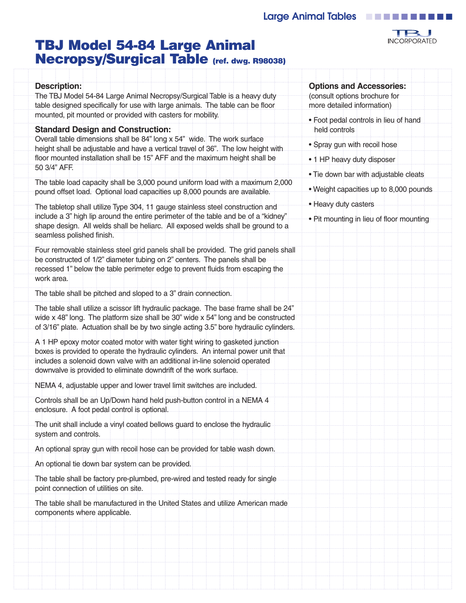

# **TBJ Model 54-84 Large Animal Necropsy/Surgical Table (ref. dwg. R98038)**

| held controls<br><b>Standard Design and Construction:</b><br>Overall table dimensions shall be 84" long x 54" wide. The work surface<br>• Spray gun with recoil hose<br>height shall be adjustable and have a vertical travel of 36". The low height with<br>floor mounted installation shall be 15" AFF and the maximum height shall be<br>• 1 HP heavy duty disposer<br>50 3/4" AFF.<br>. Tie down bar with adjustable cleats<br>The table load capacity shall be 3,000 pound uniform load with a maximum 2,000<br>. Weight capacities up to 8,000 pounds<br>pound offset load. Optional load capacities up 8,000 pounds are available.<br>• Heavy duty casters<br>The tabletop shall utilize Type 304, 11 gauge stainless steel construction and<br>include a 3" high lip around the entire perimeter of the table and be of a "kidney"<br>• Pit mounting in lieu of floor mounting<br>shape design. All welds shall be heliarc. All exposed welds shall be ground to a<br>seamless polished finish.<br>Four removable stainless steel grid panels shall be provided. The grid panels shall<br>be constructed of 1/2" diameter tubing on 2" centers. The panels shall be<br>recessed 1" below the table perimeter edge to prevent fluids from escaping the<br>work area.<br>The table shall be pitched and sloped to a 3" drain connection.<br>The table shall utilize a scissor lift hydraulic package. The base frame shall be 24"<br>wide x 48" long. The platform size shall be 30" wide x 54" long and be constructed<br>of 3/16" plate. Actuation shall be by two single acting 3.5" bore hydraulic cylinders.<br>A 1 HP epoxy motor coated motor with water tight wiring to gasketed junction<br>boxes is provided to operate the hydraulic cylinders. An internal power unit that<br>includes a solenoid down valve with an additional in-line solenoid operated<br>downvalve is provided to eliminate downdrift of the work surface.<br>NEMA 4, adjustable upper and lower travel limit switches are included.<br>Controls shall be an Up/Down hand held push-button control in a NEMA 4<br>enclosure. A foot pedal control is optional.<br>The unit shall include a vinyl coated bellows guard to enclose the hydraulic<br>system and controls.<br>An optional spray gun with recoil hose can be provided for table wash down.<br>An optional tie down bar system can be provided.<br>The table shall be factory pre-plumbed, pre-wired and tested ready for single<br>point connection of utilities on site.<br>The table shall be manufactured in the United States and utilize American made<br>components where applicable. | <b>Description:</b><br>The TBJ Model 54-84 Large Animal Necropsy/Surgical Table is a heavy duty<br>table designed specifically for use with large animals. The table can be floor<br>mounted, pit mounted or provided with casters for mobility. | <b>Options and Accessories:</b><br>(consult options brochure for<br>more detailed information)<br>· Foot pedal controls in lieu of hand |
|----------------------------------------------------------------------------------------------------------------------------------------------------------------------------------------------------------------------------------------------------------------------------------------------------------------------------------------------------------------------------------------------------------------------------------------------------------------------------------------------------------------------------------------------------------------------------------------------------------------------------------------------------------------------------------------------------------------------------------------------------------------------------------------------------------------------------------------------------------------------------------------------------------------------------------------------------------------------------------------------------------------------------------------------------------------------------------------------------------------------------------------------------------------------------------------------------------------------------------------------------------------------------------------------------------------------------------------------------------------------------------------------------------------------------------------------------------------------------------------------------------------------------------------------------------------------------------------------------------------------------------------------------------------------------------------------------------------------------------------------------------------------------------------------------------------------------------------------------------------------------------------------------------------------------------------------------------------------------------------------------------------------------------------------------------------------------------------------------------------------------------------------------------------------------------------------------------------------------------------------------------------------------------------------------------------------------------------------------------------------------------------------------------------------------------------------------------------------------------------------------------------------------------------------------------------------------------------------------------------------------------------------|--------------------------------------------------------------------------------------------------------------------------------------------------------------------------------------------------------------------------------------------------|-----------------------------------------------------------------------------------------------------------------------------------------|
|                                                                                                                                                                                                                                                                                                                                                                                                                                                                                                                                                                                                                                                                                                                                                                                                                                                                                                                                                                                                                                                                                                                                                                                                                                                                                                                                                                                                                                                                                                                                                                                                                                                                                                                                                                                                                                                                                                                                                                                                                                                                                                                                                                                                                                                                                                                                                                                                                                                                                                                                                                                                                                              |                                                                                                                                                                                                                                                  |                                                                                                                                         |
|                                                                                                                                                                                                                                                                                                                                                                                                                                                                                                                                                                                                                                                                                                                                                                                                                                                                                                                                                                                                                                                                                                                                                                                                                                                                                                                                                                                                                                                                                                                                                                                                                                                                                                                                                                                                                                                                                                                                                                                                                                                                                                                                                                                                                                                                                                                                                                                                                                                                                                                                                                                                                                              |                                                                                                                                                                                                                                                  |                                                                                                                                         |
|                                                                                                                                                                                                                                                                                                                                                                                                                                                                                                                                                                                                                                                                                                                                                                                                                                                                                                                                                                                                                                                                                                                                                                                                                                                                                                                                                                                                                                                                                                                                                                                                                                                                                                                                                                                                                                                                                                                                                                                                                                                                                                                                                                                                                                                                                                                                                                                                                                                                                                                                                                                                                                              |                                                                                                                                                                                                                                                  |                                                                                                                                         |
|                                                                                                                                                                                                                                                                                                                                                                                                                                                                                                                                                                                                                                                                                                                                                                                                                                                                                                                                                                                                                                                                                                                                                                                                                                                                                                                                                                                                                                                                                                                                                                                                                                                                                                                                                                                                                                                                                                                                                                                                                                                                                                                                                                                                                                                                                                                                                                                                                                                                                                                                                                                                                                              |                                                                                                                                                                                                                                                  |                                                                                                                                         |
|                                                                                                                                                                                                                                                                                                                                                                                                                                                                                                                                                                                                                                                                                                                                                                                                                                                                                                                                                                                                                                                                                                                                                                                                                                                                                                                                                                                                                                                                                                                                                                                                                                                                                                                                                                                                                                                                                                                                                                                                                                                                                                                                                                                                                                                                                                                                                                                                                                                                                                                                                                                                                                              |                                                                                                                                                                                                                                                  |                                                                                                                                         |
|                                                                                                                                                                                                                                                                                                                                                                                                                                                                                                                                                                                                                                                                                                                                                                                                                                                                                                                                                                                                                                                                                                                                                                                                                                                                                                                                                                                                                                                                                                                                                                                                                                                                                                                                                                                                                                                                                                                                                                                                                                                                                                                                                                                                                                                                                                                                                                                                                                                                                                                                                                                                                                              |                                                                                                                                                                                                                                                  |                                                                                                                                         |
|                                                                                                                                                                                                                                                                                                                                                                                                                                                                                                                                                                                                                                                                                                                                                                                                                                                                                                                                                                                                                                                                                                                                                                                                                                                                                                                                                                                                                                                                                                                                                                                                                                                                                                                                                                                                                                                                                                                                                                                                                                                                                                                                                                                                                                                                                                                                                                                                                                                                                                                                                                                                                                              |                                                                                                                                                                                                                                                  |                                                                                                                                         |
|                                                                                                                                                                                                                                                                                                                                                                                                                                                                                                                                                                                                                                                                                                                                                                                                                                                                                                                                                                                                                                                                                                                                                                                                                                                                                                                                                                                                                                                                                                                                                                                                                                                                                                                                                                                                                                                                                                                                                                                                                                                                                                                                                                                                                                                                                                                                                                                                                                                                                                                                                                                                                                              |                                                                                                                                                                                                                                                  |                                                                                                                                         |
|                                                                                                                                                                                                                                                                                                                                                                                                                                                                                                                                                                                                                                                                                                                                                                                                                                                                                                                                                                                                                                                                                                                                                                                                                                                                                                                                                                                                                                                                                                                                                                                                                                                                                                                                                                                                                                                                                                                                                                                                                                                                                                                                                                                                                                                                                                                                                                                                                                                                                                                                                                                                                                              |                                                                                                                                                                                                                                                  |                                                                                                                                         |
|                                                                                                                                                                                                                                                                                                                                                                                                                                                                                                                                                                                                                                                                                                                                                                                                                                                                                                                                                                                                                                                                                                                                                                                                                                                                                                                                                                                                                                                                                                                                                                                                                                                                                                                                                                                                                                                                                                                                                                                                                                                                                                                                                                                                                                                                                                                                                                                                                                                                                                                                                                                                                                              |                                                                                                                                                                                                                                                  |                                                                                                                                         |
|                                                                                                                                                                                                                                                                                                                                                                                                                                                                                                                                                                                                                                                                                                                                                                                                                                                                                                                                                                                                                                                                                                                                                                                                                                                                                                                                                                                                                                                                                                                                                                                                                                                                                                                                                                                                                                                                                                                                                                                                                                                                                                                                                                                                                                                                                                                                                                                                                                                                                                                                                                                                                                              |                                                                                                                                                                                                                                                  |                                                                                                                                         |
|                                                                                                                                                                                                                                                                                                                                                                                                                                                                                                                                                                                                                                                                                                                                                                                                                                                                                                                                                                                                                                                                                                                                                                                                                                                                                                                                                                                                                                                                                                                                                                                                                                                                                                                                                                                                                                                                                                                                                                                                                                                                                                                                                                                                                                                                                                                                                                                                                                                                                                                                                                                                                                              |                                                                                                                                                                                                                                                  |                                                                                                                                         |
|                                                                                                                                                                                                                                                                                                                                                                                                                                                                                                                                                                                                                                                                                                                                                                                                                                                                                                                                                                                                                                                                                                                                                                                                                                                                                                                                                                                                                                                                                                                                                                                                                                                                                                                                                                                                                                                                                                                                                                                                                                                                                                                                                                                                                                                                                                                                                                                                                                                                                                                                                                                                                                              |                                                                                                                                                                                                                                                  |                                                                                                                                         |
|                                                                                                                                                                                                                                                                                                                                                                                                                                                                                                                                                                                                                                                                                                                                                                                                                                                                                                                                                                                                                                                                                                                                                                                                                                                                                                                                                                                                                                                                                                                                                                                                                                                                                                                                                                                                                                                                                                                                                                                                                                                                                                                                                                                                                                                                                                                                                                                                                                                                                                                                                                                                                                              |                                                                                                                                                                                                                                                  |                                                                                                                                         |
|                                                                                                                                                                                                                                                                                                                                                                                                                                                                                                                                                                                                                                                                                                                                                                                                                                                                                                                                                                                                                                                                                                                                                                                                                                                                                                                                                                                                                                                                                                                                                                                                                                                                                                                                                                                                                                                                                                                                                                                                                                                                                                                                                                                                                                                                                                                                                                                                                                                                                                                                                                                                                                              |                                                                                                                                                                                                                                                  |                                                                                                                                         |
|                                                                                                                                                                                                                                                                                                                                                                                                                                                                                                                                                                                                                                                                                                                                                                                                                                                                                                                                                                                                                                                                                                                                                                                                                                                                                                                                                                                                                                                                                                                                                                                                                                                                                                                                                                                                                                                                                                                                                                                                                                                                                                                                                                                                                                                                                                                                                                                                                                                                                                                                                                                                                                              |                                                                                                                                                                                                                                                  |                                                                                                                                         |